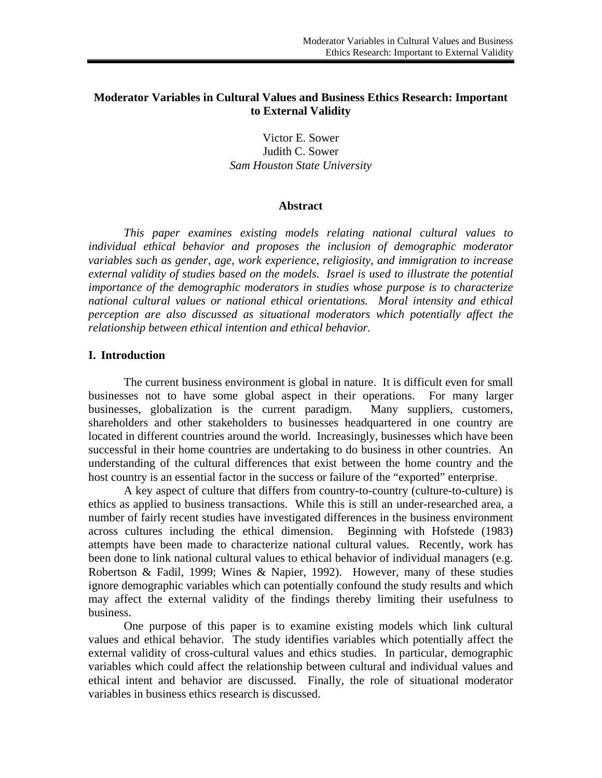## **Moderator Variables in Cultural Values and Business Ethics Research: Important to External Validity**

Victor E. Sower Judith C. Sower *Sam Houston State University* 

### **Abstract**

*This paper examines existing models relating national cultural values to individual ethical behavior and proposes the inclusion of demographic moderator variables such as gender, age, work experience, religiosity, and immigration to increase external validity of studies based on the models. Israel is used to illustrate the potential importance of the demographic moderators in studies whose purpose is to characterize national cultural values or national ethical orientations. Moral intensity and ethical perception are also discussed as situational moderators which potentially affect the relationship between ethical intention and ethical behavior.* 

### **I. Introduction**

The current business environment is global in nature. It is difficult even for small businesses not to have some global aspect in their operations. For many larger businesses, globalization is the current paradigm. Many suppliers, customers, shareholders and other stakeholders to businesses headquartered in one country are located in different countries around the world. Increasingly, businesses which have been successful in their home countries are undertaking to do business in other countries. An understanding of the cultural differences that exist between the home country and the host country is an essential factor in the success or failure of the "exported" enterprise.

A key aspect of culture that differs from country-to-country (culture-to-culture) is ethics as applied to business transactions. While this is still an under-researched area, a number of fairly recent studies have investigated differences in the business environment across cultures including the ethical dimension. Beginning with Hofstede (1983) attempts have been made to characterize national cultural values. Recently, work has been done to link national cultural values to ethical behavior of individual managers (e.g. Robertson & Fadil, 1999; Wines & Napier, 1992). However, many of these studies ignore demographic variables which can potentially confound the study results and which may affect the external validity of the findings thereby limiting their usefulness to business.

One purpose of this paper is to examine existing models which link cultural values and ethical behavior. The study identifies variables which potentially affect the external validity of cross-cultural values and ethics studies. In particular, demographic variables which could affect the relationship between cultural and individual values and ethical intent and behavior are discussed. Finally, the role of situational moderator variables in business ethics research is discussed.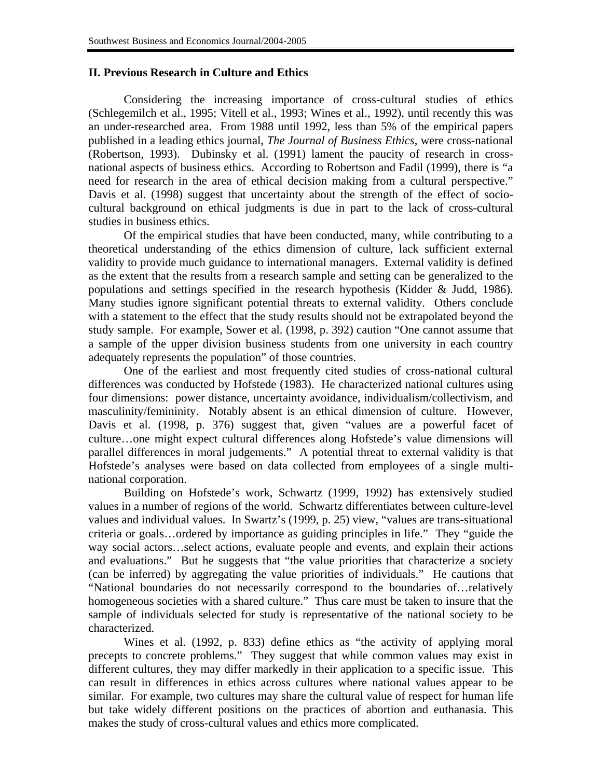# **II. Previous Research in Culture and Ethics**

Considering the increasing importance of cross-cultural studies of ethics (Schlegemilch et al., 1995; Vitell et al., 1993; Wines et al., 1992), until recently this was an under-researched area. From 1988 until 1992, less than 5% of the empirical papers published in a leading ethics journal, *The Journal of Business Ethics*, were cross-national (Robertson, 1993). Dubinsky et al. (1991) lament the paucity of research in crossnational aspects of business ethics. According to Robertson and Fadil (1999), there is "a need for research in the area of ethical decision making from a cultural perspective." Davis et al. (1998) suggest that uncertainty about the strength of the effect of sociocultural background on ethical judgments is due in part to the lack of cross-cultural studies in business ethics.

Of the empirical studies that have been conducted, many, while contributing to a theoretical understanding of the ethics dimension of culture, lack sufficient external validity to provide much guidance to international managers. External validity is defined as the extent that the results from a research sample and setting can be generalized to the populations and settings specified in the research hypothesis (Kidder & Judd, 1986). Many studies ignore significant potential threats to external validity. Others conclude with a statement to the effect that the study results should not be extrapolated beyond the study sample. For example, Sower et al. (1998, p. 392) caution "One cannot assume that a sample of the upper division business students from one university in each country adequately represents the population" of those countries.

One of the earliest and most frequently cited studies of cross-national cultural differences was conducted by Hofstede (1983). He characterized national cultures using four dimensions: power distance, uncertainty avoidance, individualism/collectivism, and masculinity/femininity. Notably absent is an ethical dimension of culture. However, Davis et al. (1998, p. 376) suggest that, given "values are a powerful facet of culture…one might expect cultural differences along Hofstede's value dimensions will parallel differences in moral judgements." A potential threat to external validity is that Hofstede's analyses were based on data collected from employees of a single multinational corporation.

Building on Hofstede's work, Schwartz (1999, 1992) has extensively studied values in a number of regions of the world. Schwartz differentiates between culture-level values and individual values. In Swartz's (1999, p. 25) view, "values are trans-situational criteria or goals…ordered by importance as guiding principles in life." They "guide the way social actors…select actions, evaluate people and events, and explain their actions and evaluations." But he suggests that "the value priorities that characterize a society (can be inferred) by aggregating the value priorities of individuals." He cautions that "National boundaries do not necessarily correspond to the boundaries of…relatively homogeneous societies with a shared culture." Thus care must be taken to insure that the sample of individuals selected for study is representative of the national society to be characterized.

Wines et al. (1992, p. 833) define ethics as "the activity of applying moral precepts to concrete problems." They suggest that while common values may exist in different cultures, they may differ markedly in their application to a specific issue. This can result in differences in ethics across cultures where national values appear to be similar. For example, two cultures may share the cultural value of respect for human life but take widely different positions on the practices of abortion and euthanasia. This makes the study of cross-cultural values and ethics more complicated.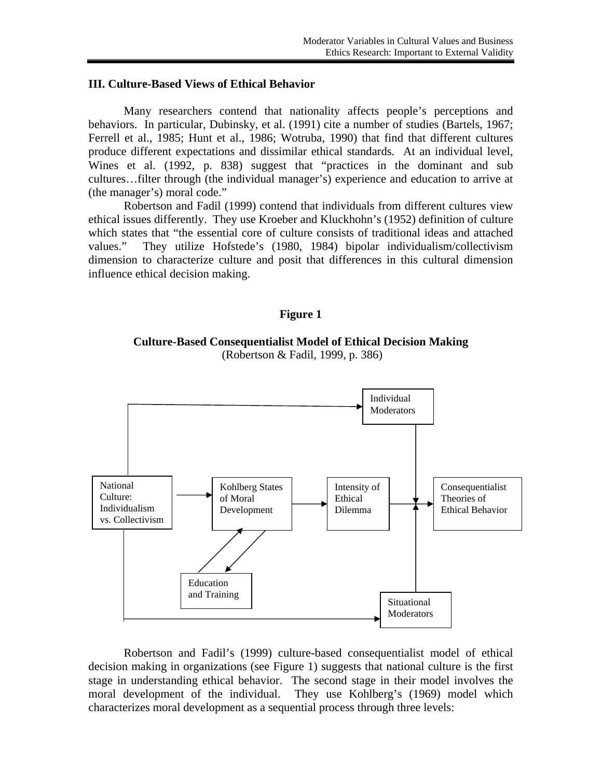### **III. Culture-Based Views of Ethical Behavior**

Many researchers contend that nationality affects people's perceptions and behaviors. In particular, Dubinsky, et al. (1991) cite a number of studies (Bartels, 1967; Ferrell et al., 1985; Hunt et al., 1986; Wotruba, 1990) that find that different cultures produce different expectations and dissimilar ethical standards. At an individual level, Wines et al. (1992, p. 838) suggest that "practices in the dominant and sub cultures…filter through (the individual manager's) experience and education to arrive at (the manager's) moral code."

Robertson and Fadil (1999) contend that individuals from different cultures view ethical issues differently. They use Kroeber and Kluckhohn's (1952) definition of culture which states that "the essential core of culture consists of traditional ideas and attached values." They utilize Hofstede's (1980, 1984) bipolar individualism/collectivism dimension to characterize culture and posit that differences in this cultural dimension influence ethical decision making.

### **Figure 1**

**Culture-Based Consequentialist Model of Ethical Decision Making**  (Robertson & Fadil, 1999, p. 386)



Robertson and Fadil's (1999) culture-based consequentialist model of ethical decision making in organizations (see Figure 1) suggests that national culture is the first stage in understanding ethical behavior. The second stage in their model involves the moral development of the individual. They use Kohlberg's (1969) model which characterizes moral development as a sequential process through three levels: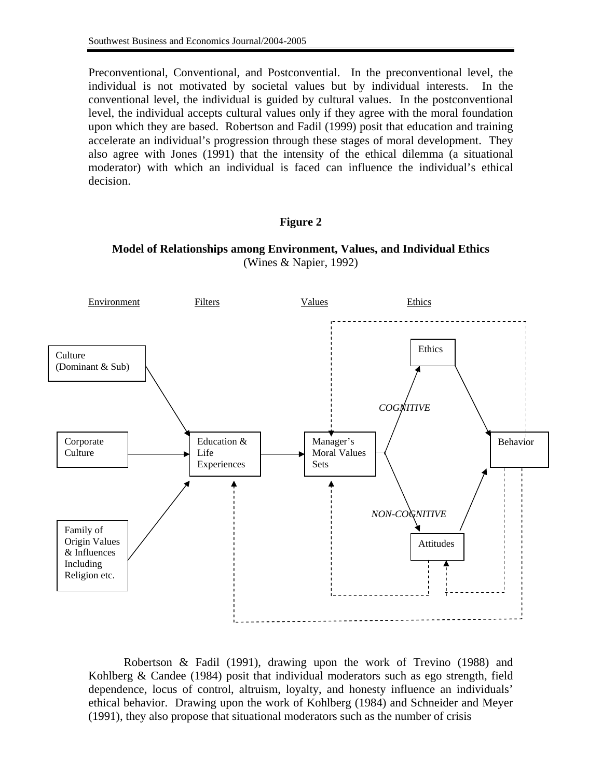Preconventional, Conventional, and Postconvential. In the preconventional level, the individual is not motivated by societal values but by individual interests. In the conventional level, the individual is guided by cultural values. In the postconventional level, the individual accepts cultural values only if they agree with the moral foundation upon which they are based. Robertson and Fadil (1999) posit that education and training accelerate an individual's progression through these stages of moral development. They also agree with Jones (1991) that the intensity of the ethical dilemma (a situational moderator) with which an individual is faced can influence the individual's ethical decision.

## **Figure 2**

**Model of Relationships among Environment, Values, and Individual Ethics**  (Wines & Napier, 1992)



 Robertson & Fadil (1991), drawing upon the work of Trevino (1988) and Kohlberg & Candee (1984) posit that individual moderators such as ego strength, field dependence, locus of control, altruism, loyalty, and honesty influence an individuals' ethical behavior. Drawing upon the work of Kohlberg (1984) and Schneider and Meyer (1991), they also propose that situational moderators such as the number of crisis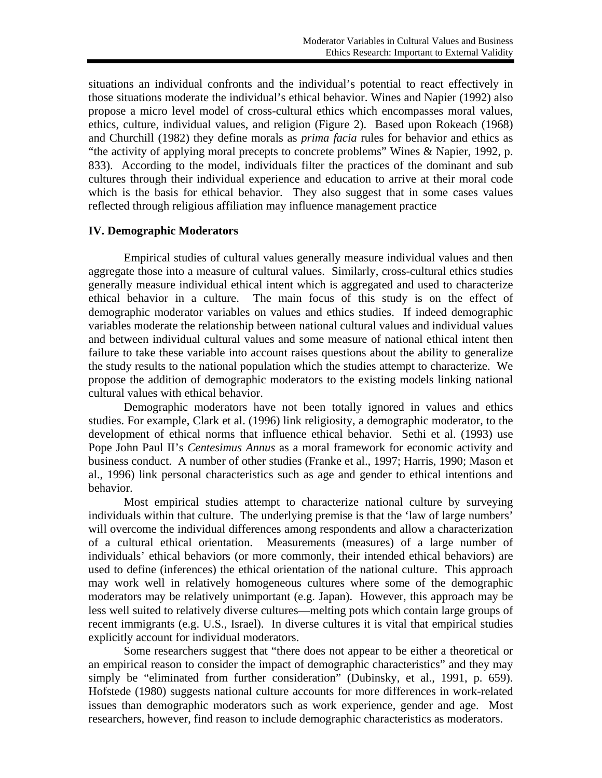situations an individual confronts and the individual's potential to react effectively in those situations moderate the individual's ethical behavior. Wines and Napier (1992) also propose a micro level model of cross-cultural ethics which encompasses moral values, ethics, culture, individual values, and religion (Figure 2). Based upon Rokeach (1968) and Churchill (1982) they define morals as *prima facia* rules for behavior and ethics as "the activity of applying moral precepts to concrete problems" Wines & Napier, 1992, p. 833). According to the model, individuals filter the practices of the dominant and sub cultures through their individual experience and education to arrive at their moral code which is the basis for ethical behavior. They also suggest that in some cases values reflected through religious affiliation may influence management practice

### **IV. Demographic Moderators**

Empirical studies of cultural values generally measure individual values and then aggregate those into a measure of cultural values. Similarly, cross-cultural ethics studies generally measure individual ethical intent which is aggregated and used to characterize ethical behavior in a culture. The main focus of this study is on the effect of demographic moderator variables on values and ethics studies. If indeed demographic variables moderate the relationship between national cultural values and individual values and between individual cultural values and some measure of national ethical intent then failure to take these variable into account raises questions about the ability to generalize the study results to the national population which the studies attempt to characterize. We propose the addition of demographic moderators to the existing models linking national cultural values with ethical behavior.

Demographic moderators have not been totally ignored in values and ethics studies. For example, Clark et al. (1996) link religiosity, a demographic moderator, to the development of ethical norms that influence ethical behavior. Sethi et al. (1993) use Pope John Paul II's *Centesimus Annus* as a moral framework for economic activity and business conduct. A number of other studies (Franke et al., 1997; Harris, 1990; Mason et al., 1996) link personal characteristics such as age and gender to ethical intentions and behavior.

Most empirical studies attempt to characterize national culture by surveying individuals within that culture. The underlying premise is that the 'law of large numbers' will overcome the individual differences among respondents and allow a characterization of a cultural ethical orientation. Measurements (measures) of a large number of individuals' ethical behaviors (or more commonly, their intended ethical behaviors) are used to define (inferences) the ethical orientation of the national culture. This approach may work well in relatively homogeneous cultures where some of the demographic moderators may be relatively unimportant (e.g. Japan). However, this approach may be less well suited to relatively diverse cultures—melting pots which contain large groups of recent immigrants (e.g. U.S., Israel). In diverse cultures it is vital that empirical studies explicitly account for individual moderators.

Some researchers suggest that "there does not appear to be either a theoretical or an empirical reason to consider the impact of demographic characteristics" and they may simply be "eliminated from further consideration" (Dubinsky, et al., 1991, p. 659). Hofstede (1980) suggests national culture accounts for more differences in work-related issues than demographic moderators such as work experience, gender and age. Most researchers, however, find reason to include demographic characteristics as moderators.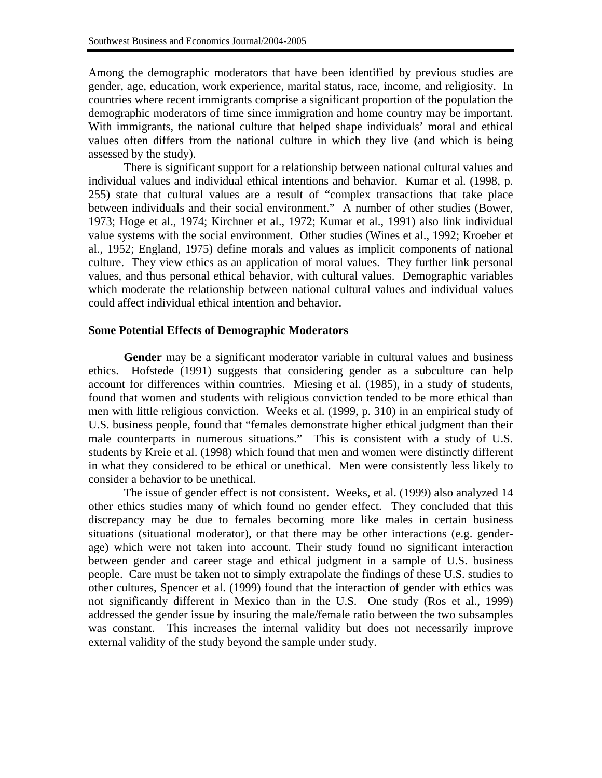Among the demographic moderators that have been identified by previous studies are gender, age, education, work experience, marital status, race, income, and religiosity. In countries where recent immigrants comprise a significant proportion of the population the demographic moderators of time since immigration and home country may be important. With immigrants, the national culture that helped shape individuals' moral and ethical values often differs from the national culture in which they live (and which is being assessed by the study).

There is significant support for a relationship between national cultural values and individual values and individual ethical intentions and behavior. Kumar et al. (1998, p. 255) state that cultural values are a result of "complex transactions that take place between individuals and their social environment." A number of other studies (Bower, 1973; Hoge et al., 1974; Kirchner et al., 1972; Kumar et al., 1991) also link individual value systems with the social environment. Other studies (Wines et al., 1992; Kroeber et al., 1952; England, 1975) define morals and values as implicit components of national culture. They view ethics as an application of moral values. They further link personal values, and thus personal ethical behavior, with cultural values. Demographic variables which moderate the relationship between national cultural values and individual values could affect individual ethical intention and behavior.

## **Some Potential Effects of Demographic Moderators**

**Gender** may be a significant moderator variable in cultural values and business ethics. Hofstede (1991) suggests that considering gender as a subculture can help account for differences within countries. Miesing et al. (1985), in a study of students, found that women and students with religious conviction tended to be more ethical than men with little religious conviction. Weeks et al. (1999, p. 310) in an empirical study of U.S. business people, found that "females demonstrate higher ethical judgment than their male counterparts in numerous situations." This is consistent with a study of U.S. students by Kreie et al. (1998) which found that men and women were distinctly different in what they considered to be ethical or unethical. Men were consistently less likely to consider a behavior to be unethical.

The issue of gender effect is not consistent. Weeks, et al. (1999) also analyzed 14 other ethics studies many of which found no gender effect. They concluded that this discrepancy may be due to females becoming more like males in certain business situations (situational moderator), or that there may be other interactions (e.g. genderage) which were not taken into account. Their study found no significant interaction between gender and career stage and ethical judgment in a sample of U.S. business people. Care must be taken not to simply extrapolate the findings of these U.S. studies to other cultures, Spencer et al. (1999) found that the interaction of gender with ethics was not significantly different in Mexico than in the U.S. One study (Ros et al., 1999) addressed the gender issue by insuring the male/female ratio between the two subsamples was constant. This increases the internal validity but does not necessarily improve external validity of the study beyond the sample under study.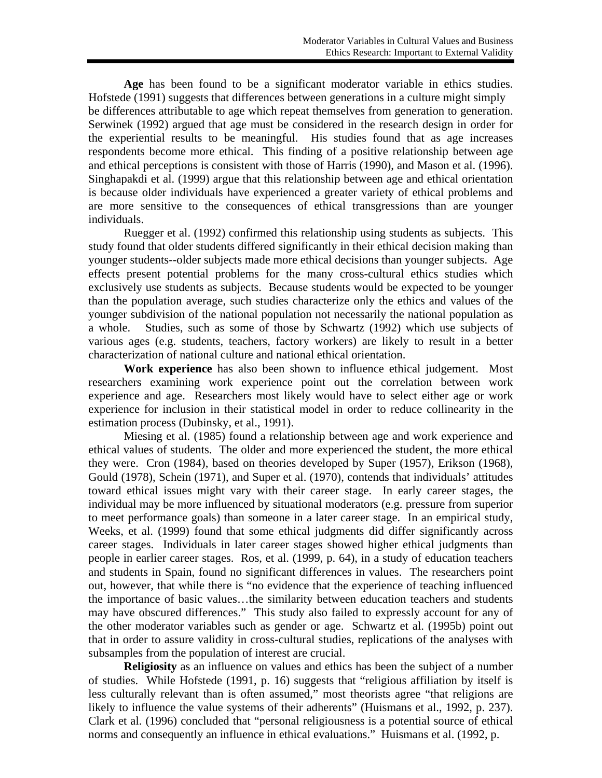**Age** has been found to be a significant moderator variable in ethics studies. Hofstede (1991) suggests that differences between generations in a culture might simply be differences attributable to age which repeat themselves from generation to generation. Serwinek (1992) argued that age must be considered in the research design in order for the experiential results to be meaningful. His studies found that as age increases respondents become more ethical. This finding of a positive relationship between age and ethical perceptions is consistent with those of Harris (1990), and Mason et al. (1996). Singhapakdi et al. (1999) argue that this relationship between age and ethical orientation is because older individuals have experienced a greater variety of ethical problems and are more sensitive to the consequences of ethical transgressions than are younger individuals.

Ruegger et al. (1992) confirmed this relationship using students as subjects. This study found that older students differed significantly in their ethical decision making than younger students--older subjects made more ethical decisions than younger subjects. Age effects present potential problems for the many cross-cultural ethics studies which exclusively use students as subjects. Because students would be expected to be younger than the population average, such studies characterize only the ethics and values of the younger subdivision of the national population not necessarily the national population as a whole. Studies, such as some of those by Schwartz (1992) which use subjects of various ages (e.g. students, teachers, factory workers) are likely to result in a better characterization of national culture and national ethical orientation.

**Work experience** has also been shown to influence ethical judgement. Most researchers examining work experience point out the correlation between work experience and age. Researchers most likely would have to select either age or work experience for inclusion in their statistical model in order to reduce collinearity in the estimation process (Dubinsky, et al., 1991).

Miesing et al. (1985) found a relationship between age and work experience and ethical values of students. The older and more experienced the student, the more ethical they were. Cron (1984), based on theories developed by Super (1957), Erikson (1968), Gould (1978), Schein (1971), and Super et al. (1970), contends that individuals' attitudes toward ethical issues might vary with their career stage. In early career stages, the individual may be more influenced by situational moderators (e.g. pressure from superior to meet performance goals) than someone in a later career stage. In an empirical study, Weeks, et al. (1999) found that some ethical judgments did differ significantly across career stages. Individuals in later career stages showed higher ethical judgments than people in earlier career stages. Ros, et al. (1999, p. 64), in a study of education teachers and students in Spain, found no significant differences in values. The researchers point out, however, that while there is "no evidence that the experience of teaching influenced the importance of basic values…the similarity between education teachers and students may have obscured differences." This study also failed to expressly account for any of the other moderator variables such as gender or age. Schwartz et al. (1995b) point out that in order to assure validity in cross-cultural studies, replications of the analyses with subsamples from the population of interest are crucial.

**Religiosity** as an influence on values and ethics has been the subject of a number of studies. While Hofstede (1991, p. 16) suggests that "religious affiliation by itself is less culturally relevant than is often assumed," most theorists agree "that religions are likely to influence the value systems of their adherents" (Huismans et al., 1992, p. 237). Clark et al. (1996) concluded that "personal religiousness is a potential source of ethical norms and consequently an influence in ethical evaluations." Huismans et al. (1992, p.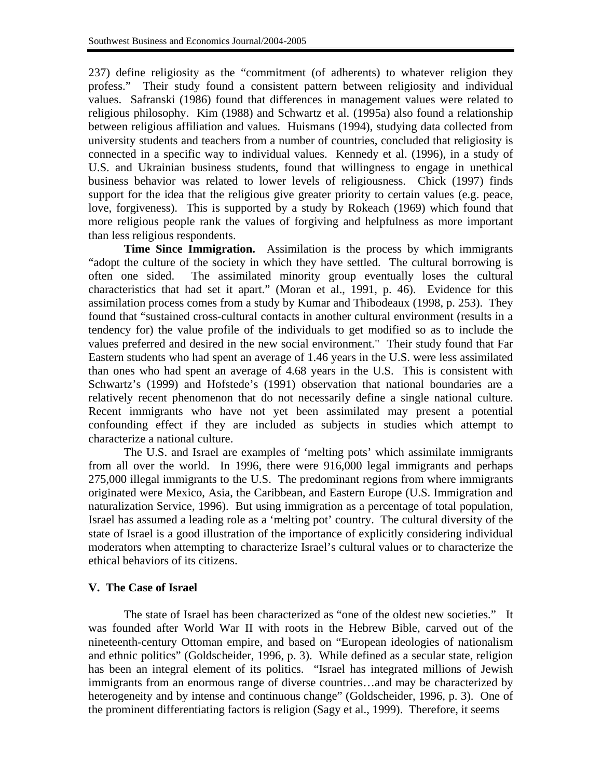237) define religiosity as the "commitment (of adherents) to whatever religion they profess." Their study found a consistent pattern between religiosity and individual values. Safranski (1986) found that differences in management values were related to religious philosophy. Kim (1988) and Schwartz et al. (1995a) also found a relationship between religious affiliation and values. Huismans (1994), studying data collected from university students and teachers from a number of countries, concluded that religiosity is connected in a specific way to individual values. Kennedy et al. (1996), in a study of U.S. and Ukrainian business students, found that willingness to engage in unethical business behavior was related to lower levels of religiousness. Chick (1997) finds support for the idea that the religious give greater priority to certain values (e.g. peace, love, forgiveness). This is supported by a study by Rokeach (1969) which found that more religious people rank the values of forgiving and helpfulness as more important than less religious respondents.

**Time Since Immigration.** Assimilation is the process by which immigrants "adopt the culture of the society in which they have settled. The cultural borrowing is often one sided. The assimilated minority group eventually loses the cultural characteristics that had set it apart." (Moran et al., 1991, p. 46). Evidence for this assimilation process comes from a study by Kumar and Thibodeaux (1998, p. 253). They found that "sustained cross-cultural contacts in another cultural environment (results in a tendency for) the value profile of the individuals to get modified so as to include the values preferred and desired in the new social environment." Their study found that Far Eastern students who had spent an average of 1.46 years in the U.S. were less assimilated than ones who had spent an average of 4.68 years in the U.S. This is consistent with Schwartz's (1999) and Hofstede's (1991) observation that national boundaries are a relatively recent phenomenon that do not necessarily define a single national culture. Recent immigrants who have not yet been assimilated may present a potential confounding effect if they are included as subjects in studies which attempt to characterize a national culture.

The U.S. and Israel are examples of 'melting pots' which assimilate immigrants from all over the world. In 1996, there were 916,000 legal immigrants and perhaps 275,000 illegal immigrants to the U.S. The predominant regions from where immigrants originated were Mexico, Asia, the Caribbean, and Eastern Europe (U.S. Immigration and naturalization Service, 1996). But using immigration as a percentage of total population, Israel has assumed a leading role as a 'melting pot' country. The cultural diversity of the state of Israel is a good illustration of the importance of explicitly considering individual moderators when attempting to characterize Israel's cultural values or to characterize the ethical behaviors of its citizens.

# **V. The Case of Israel**

The state of Israel has been characterized as "one of the oldest new societies." It was founded after World War II with roots in the Hebrew Bible, carved out of the nineteenth-century Ottoman empire, and based on "European ideologies of nationalism and ethnic politics" (Goldscheider, 1996, p. 3). While defined as a secular state, religion has been an integral element of its politics. "Israel has integrated millions of Jewish immigrants from an enormous range of diverse countries…and may be characterized by heterogeneity and by intense and continuous change" (Goldscheider, 1996, p. 3). One of the prominent differentiating factors is religion (Sagy et al., 1999). Therefore, it seems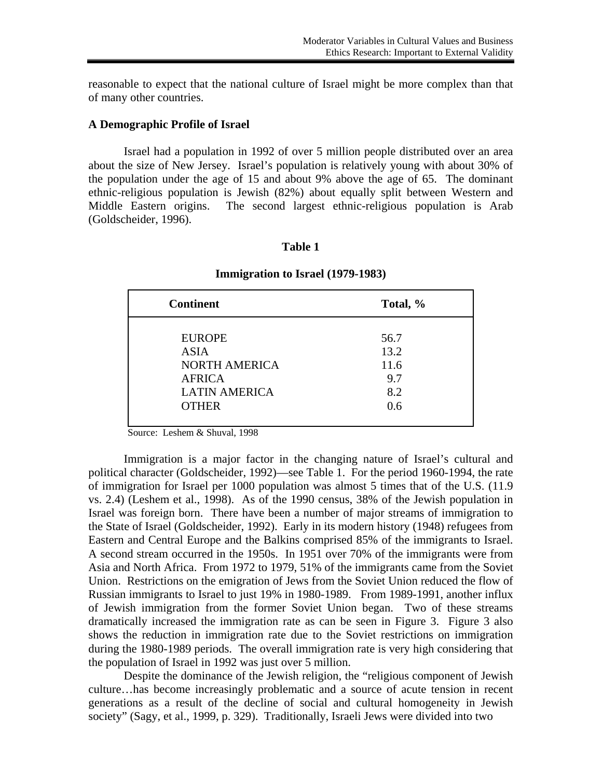reasonable to expect that the national culture of Israel might be more complex than that of many other countries.

## **A Demographic Profile of Israel**

Israel had a population in 1992 of over 5 million people distributed over an area about the size of New Jersey. Israel's population is relatively young with about 30% of the population under the age of 15 and about 9% above the age of 65. The dominant ethnic-religious population is Jewish (82%) about equally split between Western and Middle Eastern origins. The second largest ethnic-religious population is Arab (Goldscheider, 1996).

## **Table 1**

# **Immigration to Israel (1979-1983)**

| <b>Continent</b>                                                                                              | Total, %                                  |
|---------------------------------------------------------------------------------------------------------------|-------------------------------------------|
| <b>EUROPE</b><br><b>ASIA</b><br><b>NORTH AMERICA</b><br><b>AFRICA</b><br><b>LATIN AMERICA</b><br><b>OTHER</b> | 56.7<br>13.2<br>11.6<br>9.7<br>8.2<br>0.6 |
|                                                                                                               |                                           |

Source: Leshem & Shuval, 1998

Immigration is a major factor in the changing nature of Israel's cultural and political character (Goldscheider, 1992)—see Table 1. For the period 1960-1994, the rate of immigration for Israel per 1000 population was almost 5 times that of the U.S. (11.9 vs. 2.4) (Leshem et al., 1998). As of the 1990 census, 38% of the Jewish population in Israel was foreign born. There have been a number of major streams of immigration to the State of Israel (Goldscheider, 1992). Early in its modern history (1948) refugees from Eastern and Central Europe and the Balkins comprised 85% of the immigrants to Israel. A second stream occurred in the 1950s. In 1951 over 70% of the immigrants were from Asia and North Africa. From 1972 to 1979, 51% of the immigrants came from the Soviet Union. Restrictions on the emigration of Jews from the Soviet Union reduced the flow of Russian immigrants to Israel to just 19% in 1980-1989. From 1989-1991, another influx of Jewish immigration from the former Soviet Union began. Two of these streams dramatically increased the immigration rate as can be seen in Figure 3. Figure 3 also shows the reduction in immigration rate due to the Soviet restrictions on immigration during the 1980-1989 periods. The overall immigration rate is very high considering that the population of Israel in 1992 was just over 5 million.

Despite the dominance of the Jewish religion, the "religious component of Jewish culture…has become increasingly problematic and a source of acute tension in recent generations as a result of the decline of social and cultural homogeneity in Jewish society" (Sagy, et al., 1999, p. 329). Traditionally, Israeli Jews were divided into two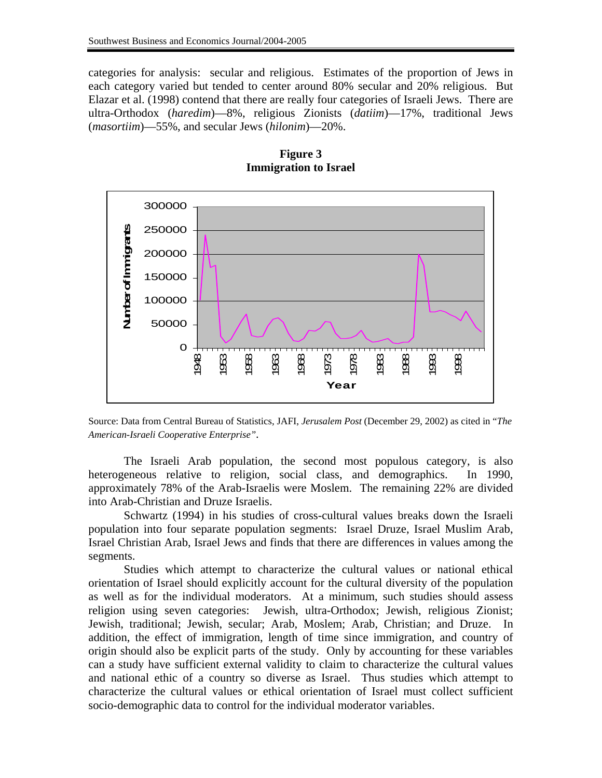categories for analysis: secular and religious. Estimates of the proportion of Jews in each category varied but tended to center around 80% secular and 20% religious. But Elazar et al. (1998) contend that there are really four categories of Israeli Jews. There are ultra-Orthodox (*haredim*)—8%, religious Zionists (*datiim*)—17%, traditional Jews (*masortiim*)—55%, and secular Jews (*hilonim*)—20%.



**Figure 3 Immigration to Israel** 

Source: Data from Central Bureau of Statistics, JAFI, *Jerusalem Post* (December 29, 2002) as cited in "*The American-Israeli Cooperative Enterprise".* 

 The Israeli Arab population, the second most populous category, is also heterogeneous relative to religion, social class, and demographics. In 1990, approximately 78% of the Arab-Israelis were Moslem. The remaining 22% are divided into Arab-Christian and Druze Israelis.

Schwartz (1994) in his studies of cross-cultural values breaks down the Israeli population into four separate population segments: Israel Druze, Israel Muslim Arab, Israel Christian Arab, Israel Jews and finds that there are differences in values among the segments.

Studies which attempt to characterize the cultural values or national ethical orientation of Israel should explicitly account for the cultural diversity of the population as well as for the individual moderators. At a minimum, such studies should assess religion using seven categories: Jewish, ultra-Orthodox; Jewish, religious Zionist; Jewish, traditional; Jewish, secular; Arab, Moslem; Arab, Christian; and Druze. In addition, the effect of immigration, length of time since immigration, and country of origin should also be explicit parts of the study. Only by accounting for these variables can a study have sufficient external validity to claim to characterize the cultural values and national ethic of a country so diverse as Israel. Thus studies which attempt to characterize the cultural values or ethical orientation of Israel must collect sufficient socio-demographic data to control for the individual moderator variables.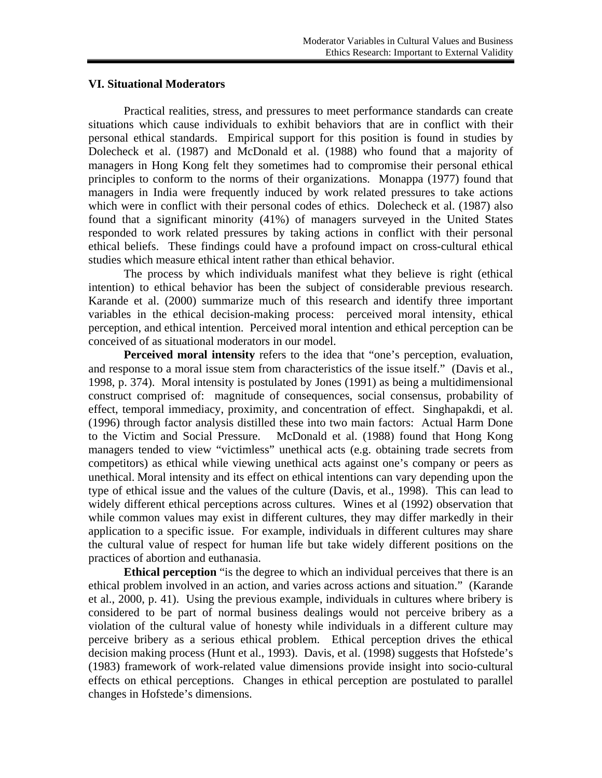## **VI. Situational Moderators**

Practical realities, stress, and pressures to meet performance standards can create situations which cause individuals to exhibit behaviors that are in conflict with their personal ethical standards. Empirical support for this position is found in studies by Dolecheck et al. (1987) and McDonald et al. (1988) who found that a majority of managers in Hong Kong felt they sometimes had to compromise their personal ethical principles to conform to the norms of their organizations. Monappa (1977) found that managers in India were frequently induced by work related pressures to take actions which were in conflict with their personal codes of ethics. Dolecheck et al. (1987) also found that a significant minority (41%) of managers surveyed in the United States responded to work related pressures by taking actions in conflict with their personal ethical beliefs. These findings could have a profound impact on cross-cultural ethical studies which measure ethical intent rather than ethical behavior.

The process by which individuals manifest what they believe is right (ethical intention) to ethical behavior has been the subject of considerable previous research. Karande et al. (2000) summarize much of this research and identify three important variables in the ethical decision-making process: perceived moral intensity, ethical perception, and ethical intention. Perceived moral intention and ethical perception can be conceived of as situational moderators in our model.

**Perceived moral intensity** refers to the idea that "one's perception, evaluation, and response to a moral issue stem from characteristics of the issue itself." (Davis et al., 1998, p. 374). Moral intensity is postulated by Jones (1991) as being a multidimensional construct comprised of: magnitude of consequences, social consensus, probability of effect, temporal immediacy, proximity, and concentration of effect. Singhapakdi, et al. (1996) through factor analysis distilled these into two main factors: Actual Harm Done to the Victim and Social Pressure. McDonald et al. (1988) found that Hong Kong managers tended to view "victimless" unethical acts (e.g. obtaining trade secrets from competitors) as ethical while viewing unethical acts against one's company or peers as unethical. Moral intensity and its effect on ethical intentions can vary depending upon the type of ethical issue and the values of the culture (Davis, et al., 1998). This can lead to widely different ethical perceptions across cultures. Wines et al (1992) observation that while common values may exist in different cultures, they may differ markedly in their application to a specific issue. For example, individuals in different cultures may share the cultural value of respect for human life but take widely different positions on the practices of abortion and euthanasia.

**Ethical perception** "is the degree to which an individual perceives that there is an ethical problem involved in an action, and varies across actions and situation." (Karande et al., 2000, p. 41). Using the previous example, individuals in cultures where bribery is considered to be part of normal business dealings would not perceive bribery as a violation of the cultural value of honesty while individuals in a different culture may perceive bribery as a serious ethical problem. Ethical perception drives the ethical decision making process (Hunt et al., 1993). Davis, et al. (1998) suggests that Hofstede's (1983) framework of work-related value dimensions provide insight into socio-cultural effects on ethical perceptions. Changes in ethical perception are postulated to parallel changes in Hofstede's dimensions.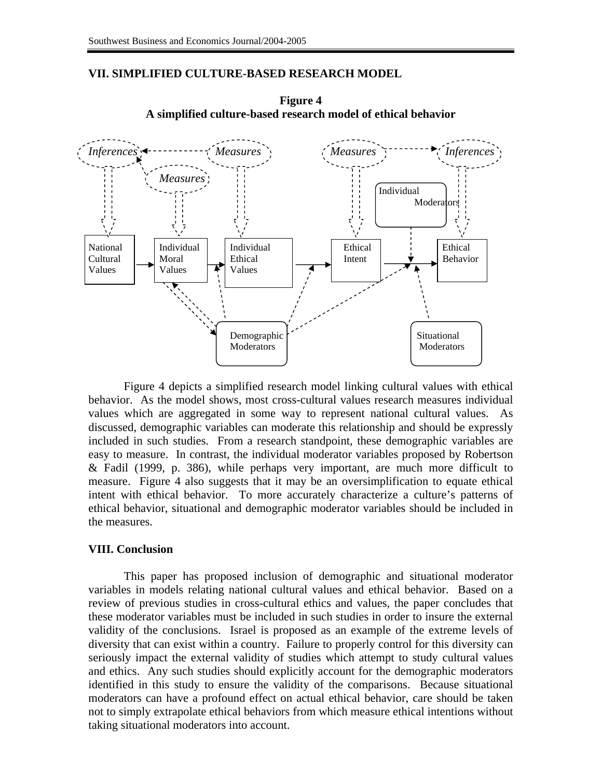## **VII. SIMPLIFIED CULTURE-BASED RESEARCH MODEL**



**Figure 4 A simplified culture-based research model of ethical behavior**

Figure 4 depicts a simplified research model linking cultural values with ethical behavior. As the model shows, most cross-cultural values research measures individual values which are aggregated in some way to represent national cultural values. As discussed, demographic variables can moderate this relationship and should be expressly included in such studies. From a research standpoint, these demographic variables are easy to measure. In contrast, the individual moderator variables proposed by Robertson & Fadil (1999, p. 386), while perhaps very important, are much more difficult to measure. Figure 4 also suggests that it may be an oversimplification to equate ethical intent with ethical behavior. To more accurately characterize a culture's patterns of ethical behavior, situational and demographic moderator variables should be included in the measures.

#### **VIII. Conclusion**

This paper has proposed inclusion of demographic and situational moderator variables in models relating national cultural values and ethical behavior. Based on a review of previous studies in cross-cultural ethics and values, the paper concludes that these moderator variables must be included in such studies in order to insure the external validity of the conclusions. Israel is proposed as an example of the extreme levels of diversity that can exist within a country. Failure to properly control for this diversity can seriously impact the external validity of studies which attempt to study cultural values and ethics. Any such studies should explicitly account for the demographic moderators identified in this study to ensure the validity of the comparisons. Because situational moderators can have a profound effect on actual ethical behavior, care should be taken not to simply extrapolate ethical behaviors from which measure ethical intentions without taking situational moderators into account.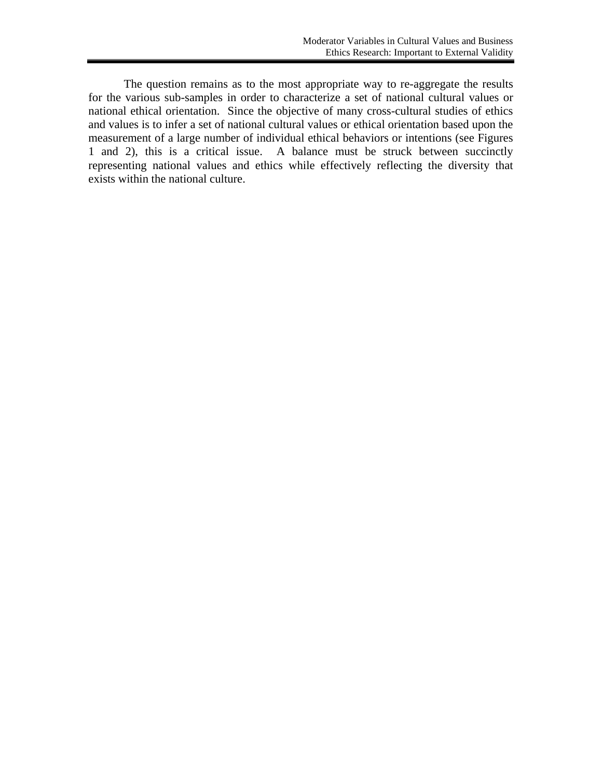The question remains as to the most appropriate way to re-aggregate the results for the various sub-samples in order to characterize a set of national cultural values or national ethical orientation. Since the objective of many cross-cultural studies of ethics and values is to infer a set of national cultural values or ethical orientation based upon the measurement of a large number of individual ethical behaviors or intentions (see Figures 1 and 2), this is a critical issue. A balance must be struck between succinctly representing national values and ethics while effectively reflecting the diversity that exists within the national culture.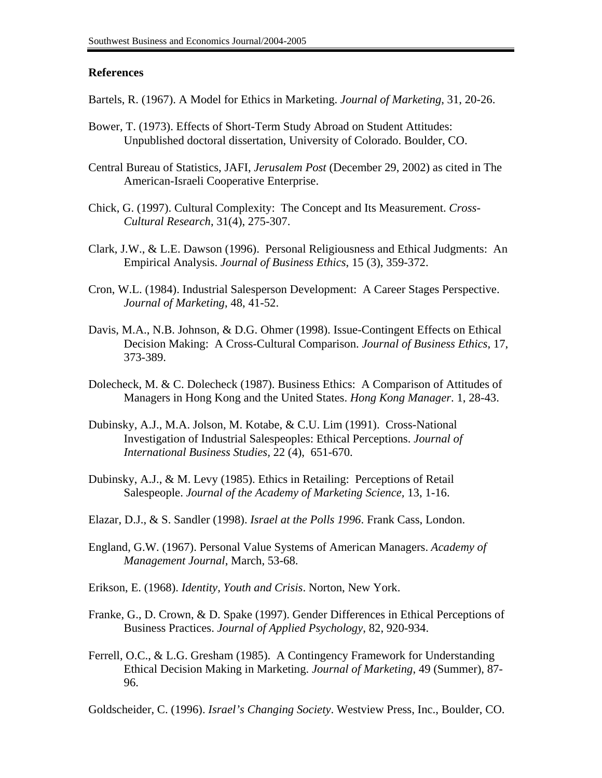## **References**

- Bartels, R. (1967). A Model for Ethics in Marketing. *Journal of Marketing*, 31, 20-26.
- Bower, T. (1973). Effects of Short-Term Study Abroad on Student Attitudes: Unpublished doctoral dissertation, University of Colorado. Boulder, CO.
- Central Bureau of Statistics, JAFI, *Jerusalem Post* (December 29, 2002) as cited in The American-Israeli Cooperative Enterprise.
- Chick, G. (1997). Cultural Complexity: The Concept and Its Measurement. *Cross-Cultural Research*, 31(4), 275-307.
- Clark, J.W., & L.E. Dawson (1996). Personal Religiousness and Ethical Judgments: An Empirical Analysis. *Journal of Business Ethics*, 15 (3), 359-372.
- Cron, W.L. (1984). Industrial Salesperson Development: A Career Stages Perspective. *Journal of Marketing*, 48, 41-52.
- Davis, M.A., N.B. Johnson, & D.G. Ohmer (1998). Issue-Contingent Effects on Ethical Decision Making: A Cross-Cultural Comparison. *Journal of Business Ethics*, 17, 373-389.
- Dolecheck, M. & C. Dolecheck (1987). Business Ethics: A Comparison of Attitudes of Managers in Hong Kong and the United States. *Hong Kong Manager*. 1, 28-43.
- Dubinsky, A.J., M.A. Jolson, M. Kotabe, & C.U. Lim (1991). Cross-National Investigation of Industrial Salespeoples: Ethical Perceptions. *Journal of International Business Studies,* 22 (4), 651-670.
- Dubinsky, A.J., & M. Levy (1985). Ethics in Retailing: Perceptions of Retail Salespeople. *Journal of the Academy of Marketing Science,* 13, 1-16.
- Elazar, D.J., & S. Sandler (1998). *Israel at the Polls 1996*. Frank Cass, London.
- England, G.W. (1967). Personal Value Systems of American Managers. *Academy of Management Journal*, March, 53-68.
- Erikson, E. (1968). *Identity, Youth and Crisis*. Norton, New York.
- Franke, G., D. Crown, & D. Spake (1997). Gender Differences in Ethical Perceptions of Business Practices. *Journal of Applied Psychology*, 82, 920-934.
- Ferrell, O.C., & L.G. Gresham (1985). A Contingency Framework for Understanding Ethical Decision Making in Marketing. *Journal of Marketing*, 49 (Summer), 87- 96.

Goldscheider, C. (1996). *Israel's Changing Society*. Westview Press, Inc., Boulder, CO.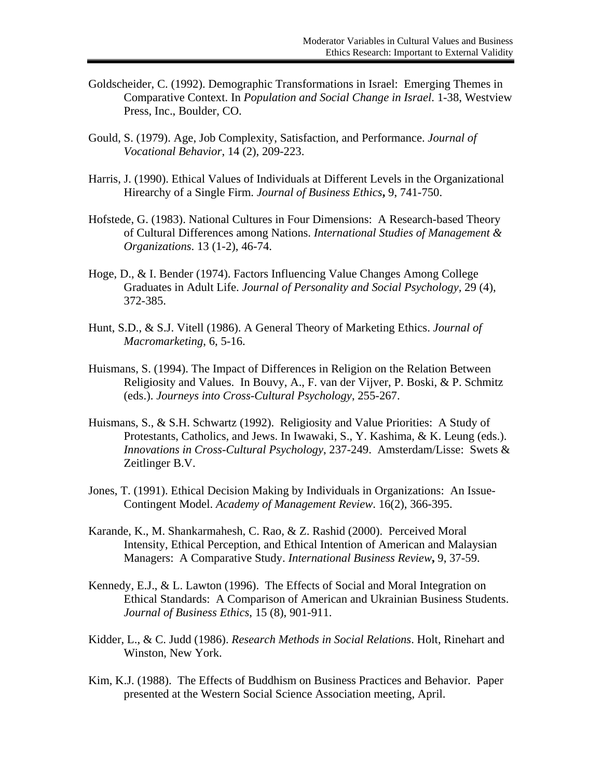- Goldscheider, C. (1992). Demographic Transformations in Israel: Emerging Themes in Comparative Context. In *Population and Social Change in Israel*. 1-38, Westview Press, Inc., Boulder, CO.
- Gould, S. (1979). Age, Job Complexity, Satisfaction, and Performance. *Journal of Vocational Behavior*, 14 (2), 209-223.
- Harris, J. (1990). Ethical Values of Individuals at Different Levels in the Organizational Hirearchy of a Single Firm. *Journal of Business Ethics***,** 9, 741-750.
- Hofstede, G. (1983). National Cultures in Four Dimensions: A Research-based Theory of Cultural Differences among Nations. *International Studies of Management & Organizations*. 13 (1-2), 46-74.
- Hoge, D., & I. Bender (1974). Factors Influencing Value Changes Among College Graduates in Adult Life. *Journal of Personality and Social Psychology,* 29 (4), 372-385.
- Hunt, S.D., & S.J. Vitell (1986). A General Theory of Marketing Ethics. *Journal of Macromarketing*, 6, 5-16.
- Huismans, S. (1994). The Impact of Differences in Religion on the Relation Between Religiosity and Values. In Bouvy, A., F. van der Vijver, P. Boski, & P. Schmitz (eds.). *Journeys into Cross-Cultural Psychology*, 255-267.
- Huismans, S., & S.H. Schwartz (1992). Religiosity and Value Priorities: A Study of Protestants, Catholics, and Jews. In Iwawaki, S., Y. Kashima, & K. Leung (eds.). *Innovations in Cross-Cultural Psychology*, 237-249. Amsterdam/Lisse: Swets & Zeitlinger B.V.
- Jones, T. (1991). Ethical Decision Making by Individuals in Organizations: An Issue-Contingent Model. *Academy of Management Review*. 16(2), 366-395.
- Karande, K., M. Shankarmahesh, C. Rao, & Z. Rashid (2000). Perceived Moral Intensity, Ethical Perception, and Ethical Intention of American and Malaysian Managers: A Comparative Study. *International Business Review***,** 9, 37-59.
- Kennedy, E.J., & L. Lawton (1996). The Effects of Social and Moral Integration on Ethical Standards: A Comparison of American and Ukrainian Business Students. *Journal of Business Ethics*, 15 (8), 901-911.
- Kidder, L., & C. Judd (1986). *Research Methods in Social Relations*. Holt, Rinehart and Winston, New York.
- Kim, K.J. (1988). The Effects of Buddhism on Business Practices and Behavior. Paper presented at the Western Social Science Association meeting, April.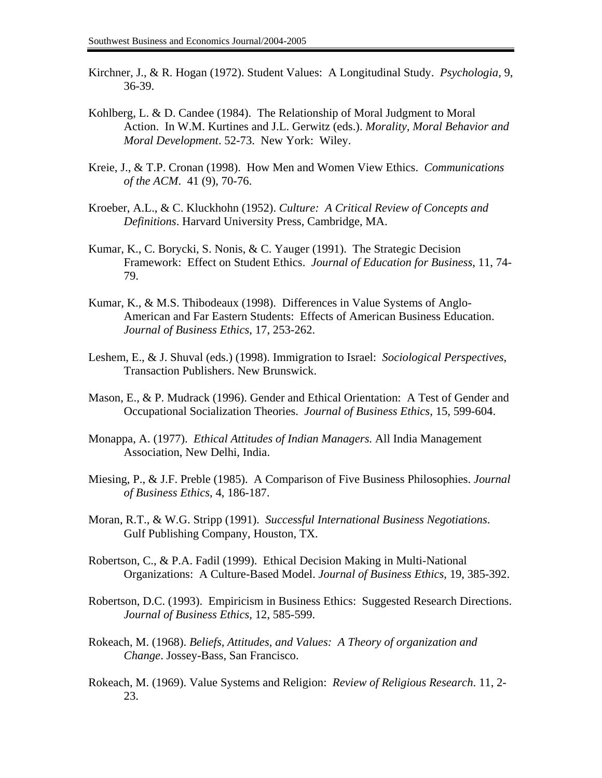- Kirchner, J., & R. Hogan (1972). Student Values: A Longitudinal Study. *Psychologia,* 9, 36-39.
- Kohlberg, L. & D. Candee (1984). The Relationship of Moral Judgment to Moral Action. In W.M. Kurtines and J.L. Gerwitz (eds.). *Morality, Moral Behavior and Moral Development*. 52-73. New York: Wiley.
- Kreie, J., & T.P. Cronan (1998). How Men and Women View Ethics. *Communications of the ACM*. 41 (9), 70-76.
- Kroeber, A.L., & C. Kluckhohn (1952). *Culture: A Critical Review of Concepts and Definitions*. Harvard University Press, Cambridge, MA.
- Kumar, K., C. Borycki, S. Nonis, & C. Yauger (1991). The Strategic Decision Framework: Effect on Student Ethics. *Journal of Education for Business*, 11, 74- 79.
- Kumar, K., & M.S. Thibodeaux (1998). Differences in Value Systems of Anglo-American and Far Eastern Students: Effects of American Business Education. *Journal of Business Ethics*, 17, 253-262.
- Leshem, E., & J. Shuval (eds.) (1998). Immigration to Israel: *Sociological Perspectives*, Transaction Publishers. New Brunswick.
- Mason, E., & P. Mudrack (1996). Gender and Ethical Orientation: A Test of Gender and Occupational Socialization Theories. *Journal of Business Ethics*, 15, 599-604.
- Monappa, A. (1977). *Ethical Attitudes of Indian Managers*. All India Management Association, New Delhi, India.
- Miesing, P., & J.F. Preble (1985). A Comparison of Five Business Philosophies. *Journal of Business Ethics*, 4, 186-187.
- Moran, R.T., & W.G. Stripp (1991). *Successful International Business Negotiations*. Gulf Publishing Company, Houston, TX.
- Robertson, C., & P.A. Fadil (1999). Ethical Decision Making in Multi-National Organizations: A Culture-Based Model. *Journal of Business Ethics*, 19, 385-392.
- Robertson, D.C. (1993). Empiricism in Business Ethics: Suggested Research Directions. *Journal of Business Ethics*, 12, 585-599.
- Rokeach, M. (1968). *Beliefs, Attitudes, and Values: A Theory of organization and Change*. Jossey-Bass, San Francisco.
- Rokeach, M. (1969). Value Systems and Religion: *Review of Religious Research*. 11, 2- 23.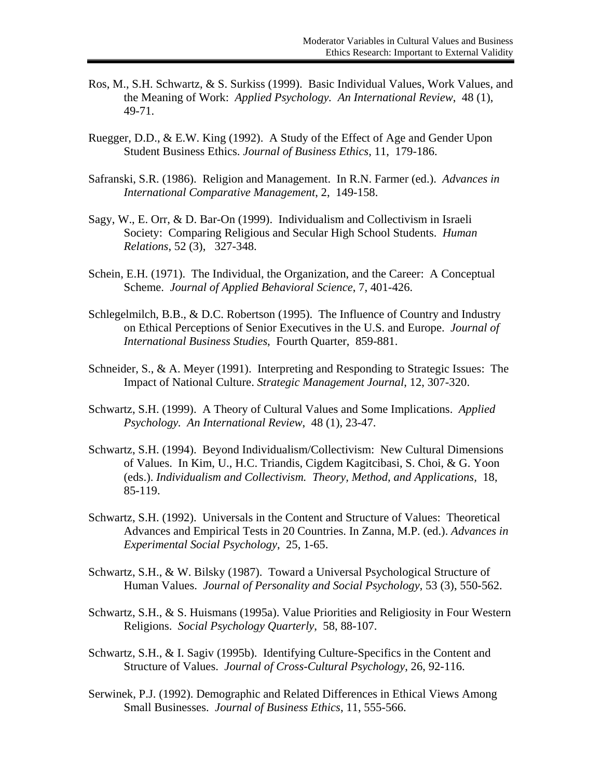- Ros, M., S.H. Schwartz, & S. Surkiss (1999). Basic Individual Values, Work Values, and the Meaning of Work: *Applied Psychology. An International Review*, 48 (1), 49-71.
- Ruegger, D.D., & E.W. King (1992). A Study of the Effect of Age and Gender Upon Student Business Ethics. *Journal of Business Ethics*, 11, 179-186.
- Safranski, S.R. (1986). Religion and Management. In R.N. Farmer (ed.). *Advances in International Comparative Management*, 2, 149-158.
- Sagy, W., E. Orr, & D. Bar-On (1999). Individualism and Collectivism in Israeli Society: Comparing Religious and Secular High School Students. *Human Relations*, 52 (3), 327-348.
- Schein, E.H. (1971). The Individual, the Organization, and the Career: A Conceptual Scheme. *Journal of Applied Behavioral Science*, 7, 401-426.
- Schlegelmilch, B.B., & D.C. Robertson (1995). The Influence of Country and Industry on Ethical Perceptions of Senior Executives in the U.S. and Europe. *Journal of International Business Studies*, Fourth Quarter, 859-881.
- Schneider, S., & A. Meyer (1991). Interpreting and Responding to Strategic Issues: The Impact of National Culture. *Strategic Management Journal*, 12, 307-320.
- Schwartz, S.H. (1999). A Theory of Cultural Values and Some Implications. *Applied Psychology. An International Review*, 48 (1), 23-47.
- Schwartz, S.H. (1994). Beyond Individualism/Collectivism: New Cultural Dimensions of Values. In Kim, U., H.C. Triandis, Cigdem Kagitcibasi, S. Choi, & G. Yoon (eds.). *Individualism and Collectivism. Theory, Method, and Applications,* 18, 85-119.
- Schwartz, S.H. (1992). Universals in the Content and Structure of Values: Theoretical Advances and Empirical Tests in 20 Countries. In Zanna, M.P. (ed.). *Advances in Experimental Social Psychology*, 25, 1-65.
- Schwartz, S.H., & W. Bilsky (1987). Toward a Universal Psychological Structure of Human Values. *Journal of Personality and Social Psychology*, 53 (3), 550-562.
- Schwartz, S.H., & S. Huismans (1995a). Value Priorities and Religiosity in Four Western Religions. *Social Psychology Quarterly*, 58, 88-107.
- Schwartz, S.H., & I. Sagiv (1995b). Identifying Culture-Specifics in the Content and Structure of Values. *Journal of Cross-Cultural Psychology*, 26, 92-116.
- Serwinek, P.J. (1992). Demographic and Related Differences in Ethical Views Among Small Businesses. *Journal of Business Ethics*, 11, 555-566.